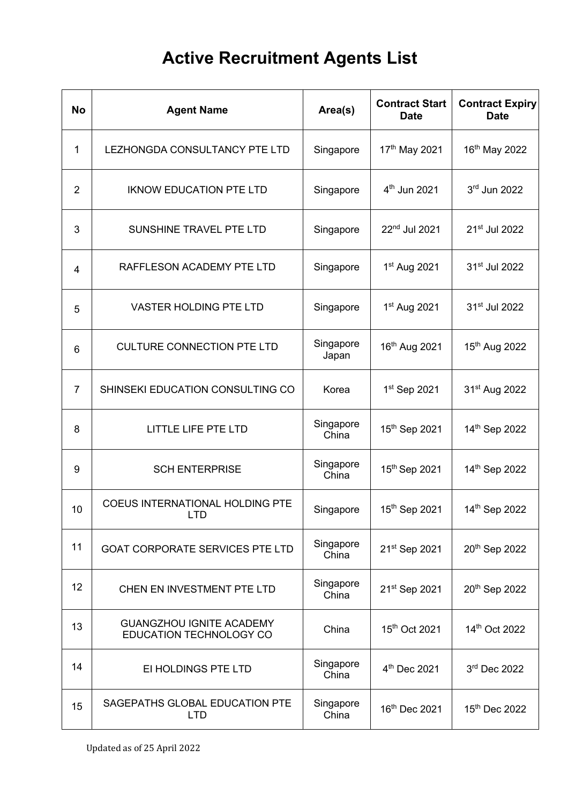## **Active Recruitment Agents List**

| No              | <b>Agent Name</b>                                          | Area(s)            | <b>Contract Start</b><br><b>Date</b> | <b>Contract Expiry</b><br><b>Date</b> |
|-----------------|------------------------------------------------------------|--------------------|--------------------------------------|---------------------------------------|
| 1               | LEZHONGDA CONSULTANCY PTE LTD                              | Singapore          | 17th May 2021                        | 16 <sup>th</sup> May 2022             |
| $\overline{2}$  | <b>IKNOW EDUCATION PTE LTD</b>                             | Singapore          | 4 <sup>th</sup> Jun 2021             | 3rd Jun 2022                          |
| 3               | SUNSHINE TRAVEL PTE LTD                                    | Singapore          | 22nd Jul 2021                        | 21 <sup>st</sup> Jul 2022             |
| $\overline{4}$  | RAFFLESON ACADEMY PTE LTD                                  | Singapore          | 1st Aug 2021                         | 31 <sup>st</sup> Jul 2022             |
| 5               | <b>VASTER HOLDING PTE LTD</b>                              | Singapore          | 1 <sup>st</sup> Aug 2021             | 31 <sup>st</sup> Jul 2022             |
| 6               | <b>CULTURE CONNECTION PTE LTD</b>                          | Singapore<br>Japan | 16th Aug 2021                        | 15 <sup>th</sup> Aug 2022             |
| $\overline{7}$  | SHINSEKI EDUCATION CONSULTING CO                           | Korea              | 1 <sup>st</sup> Sep 2021             | 31 <sup>st</sup> Aug 2022             |
| 8               | <b>LITTLE LIFE PTE LTD</b>                                 | Singapore<br>China | 15th Sep 2021                        | 14th Sep 2022                         |
| 9               | <b>SCH ENTERPRISE</b>                                      | Singapore<br>China | 15th Sep 2021                        | 14th Sep 2022                         |
| 10              | <b>COEUS INTERNATIONAL HOLDING PTE</b><br>LTD.             | Singapore          | 15th Sep 2021                        | 14th Sep 2022                         |
| 11              | <b>GOAT CORPORATE SERVICES PTE LTD</b>                     | Singapore<br>China | 21 <sup>st</sup> Sep 2021            | 20th Sep 2022                         |
| 12 <sub>2</sub> | CHEN EN INVESTMENT PTE LTD                                 | Singapore<br>China | 21 <sup>st</sup> Sep 2021            | 20th Sep 2022                         |
| 13              | <b>GUANGZHOU IGNITE ACADEMY</b><br>EDUCATION TECHNOLOGY CO | China              | 15 <sup>th</sup> Oct 2021            | 14th Oct 2022                         |
| 14              | EI HOLDINGS PTE LTD                                        | Singapore<br>China | 4 <sup>th</sup> Dec 2021             | 3rd Dec 2022                          |
| 15              | SAGEPATHS GLOBAL EDUCATION PTE<br><b>LTD</b>               | Singapore<br>China | 16th Dec 2021                        | 15th Dec 2022                         |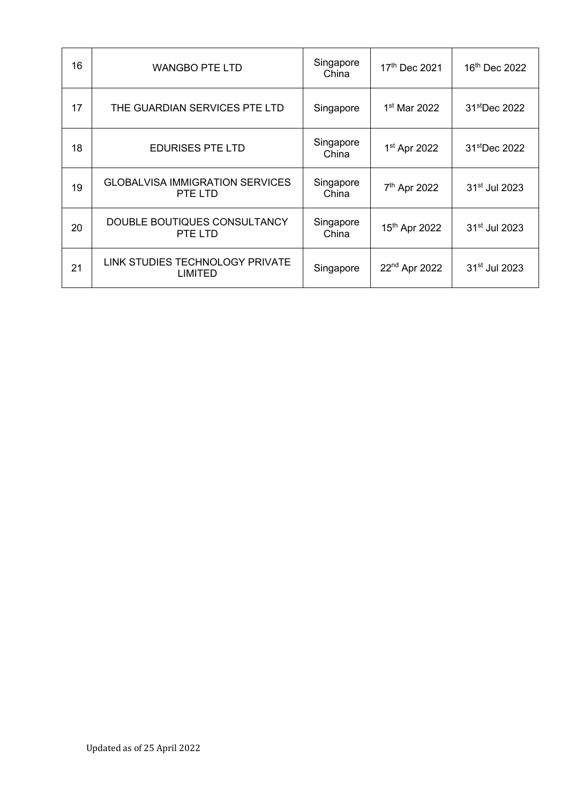| 16 | <b>WANGBO PTE LTD</b>                             | Singapore<br>China | 17th Dec 2021             | 16th Dec 2022             |
|----|---------------------------------------------------|--------------------|---------------------------|---------------------------|
| 17 | THE GUARDIAN SERVICES PTE LTD                     | Singapore          | 1 <sup>st</sup> Mar 2022  | 31 <sup>st</sup> Dec 2022 |
| 18 | <b>EDURISES PTE LTD</b>                           | Singapore<br>China | 1 <sup>st</sup> Apr 2022  | 31 <sup>st</sup> Dec 2022 |
| 19 | <b>GLOBALVISA IMMIGRATION SERVICES</b><br>PTE LTD | Singapore<br>China | 7 <sup>th</sup> Apr 2022  | 31 <sup>st</sup> Jul 2023 |
| 20 | DOUBLE BOUTIQUES CONSULTANCY<br>PTE LTD           | Singapore<br>China | 15 <sup>th</sup> Apr 2022 | 31 <sup>st</sup> Jul 2023 |
| 21 | LINK STUDIES TECHNOLOGY PRIVATE<br>LIMITED        | Singapore          | 22 <sup>nd</sup> Apr 2022 | 31 <sup>st</sup> Jul 2023 |